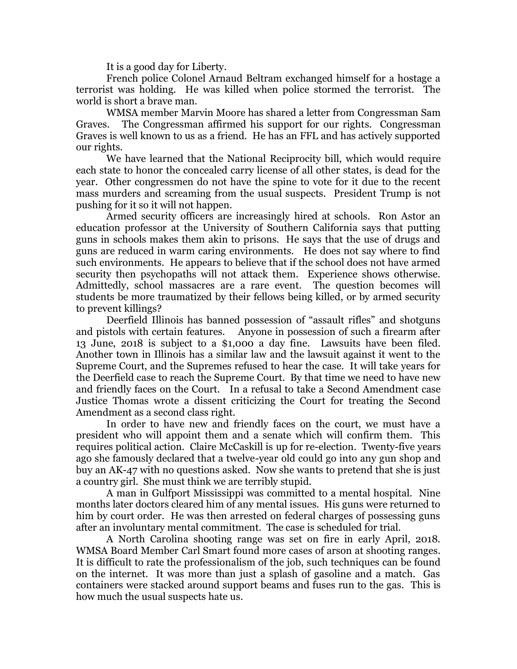It is a good day for Liberty.

French police Colonel Arnaud Beltram exchanged himself for a hostage a terrorist was holding. He was killed when police stormed the terrorist. The world is short a brave man.

WMSA member Marvin Moore has shared a letter from Congressman Sam Graves. The Congressman affirmed his support for our rights. Congressman Graves is well known to us as a friend. He has an FFL and has actively supported our rights.

We have learned that the National Reciprocity bill, which would require each state to honor the concealed carry license of all other states, is dead for the year. Other congressmen do not have the spine to vote for it due to the recent mass murders and screaming from the usual suspects. President Trump is not pushing for it so it will not happen.

Armed security officers are increasingly hired at schools. Ron Astor an education professor at the University of Southern California says that putting guns in schools makes them akin to prisons. He says that the use of drugs and guns are reduced in warm caring environments. He does not say where to find such environments. He appears to believe that if the school does not have armed security then psychopaths will not attack them. Experience shows otherwise. Admittedly, school massacres are a rare event. The question becomes will students be more traumatized by their fellows being killed, or by armed security to prevent killings?

Deerfield Illinois has banned possession of "assault rifles" and shotguns and pistols with certain features. Anyone in possession of such a firearm after 13 June, 2018 is subject to a \$1,000 a day fine. Lawsuits have been filed. Another town in Illinois has a similar law and the lawsuit against it went to the Supreme Court, and the Supremes refused to hear the case. It will take years for the Deerfield case to reach the Supreme Court. By that time we need to have new and friendly faces on the Court. In a refusal to take a Second Amendment case Justice Thomas wrote a dissent criticizing the Court for treating the Second Amendment as a second class right.

In order to have new and friendly faces on the court, we must have a president who will appoint them and a senate which will confirm them. This requires political action. Claire McCaskill is up for re-election. Twenty-five years ago she famously declared that a twelve-year old could go into any gun shop and buy an AK-47 with no questions asked. Now she wants to pretend that she is just a country girl. She must think we are terribly stupid.

A man in Gulfport Mississippi was committed to a mental hospital. Nine months later doctors cleared him of any mental issues. His guns were returned to him by court order. He was then arrested on federal charges of possessing guns after an involuntary mental commitment. The case is scheduled for trial.

A North Carolina shooting range was set on fire in early April, 2018. WMSA Board Member Carl Smart found more cases of arson at shooting ranges. It is difficult to rate the professionalism of the job, such techniques can be found on the internet. It was more than just a splash of gasoline and a match. Gas containers were stacked around support beams and fuses run to the gas. This is how much the usual suspects hate us.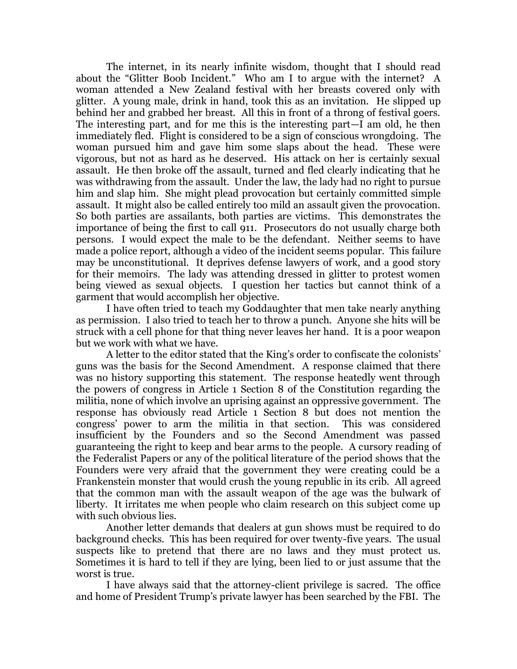The internet, in its nearly infinite wisdom, thought that I should read about the "Glitter Boob Incident." Who am I to argue with the internet? A woman attended a New Zealand festival with her breasts covered only with glitter. A young male, drink in hand, took this as an invitation. He slipped up behind her and grabbed her breast. All this in front of a throng of festival goers. The interesting part, and for me this is the interesting part—I am old, he then immediately fled. Flight is considered to be a sign of conscious wrongdoing. The woman pursued him and gave him some slaps about the head. These were vigorous, but not as hard as he deserved. His attack on her is certainly sexual assault. He then broke off the assault, turned and fled clearly indicating that he was withdrawing from the assault. Under the law, the lady had no right to pursue him and slap him. She might plead provocation but certainly committed simple assault. It might also be called entirely too mild an assault given the provocation. So both parties are assailants, both parties are victims. This demonstrates the importance of being the first to call 911. Prosecutors do not usually charge both persons. I would expect the male to be the defendant. Neither seems to have made a police report, although a video of the incident seems popular. This failure may be unconstitutional. It deprives defense lawyers of work, and a good story for their memoirs. The lady was attending dressed in glitter to protest women being viewed as sexual objects. I question her tactics but cannot think of a garment that would accomplish her objective.

I have often tried to teach my Goddaughter that men take nearly anything as permission. I also tried to teach her to throw a punch. Anyone she hits will be struck with a cell phone for that thing never leaves her hand. It is a poor weapon but we work with what we have.

A letter to the editor stated that the King's order to confiscate the colonists' guns was the basis for the Second Amendment. A response claimed that there was no history supporting this statement. The response heatedly went through the powers of congress in Article 1 Section 8 of the Constitution regarding the militia, none of which involve an uprising against an oppressive government. The response has obviously read Article 1 Section 8 but does not mention the congress' power to arm the militia in that section. This was considered insufficient by the Founders and so the Second Amendment was passed guaranteeing the right to keep and bear arms to the people. A cursory reading of the Federalist Papers or any of the political literature of the period shows that the Founders were very afraid that the government they were creating could be a Frankenstein monster that would crush the young republic in its crib. All agreed that the common man with the assault weapon of the age was the bulwark of liberty. It irritates me when people who claim research on this subject come up with such obvious lies.

Another letter demands that dealers at gun shows must be required to do background checks. This has been required for over twenty-five years. The usual suspects like to pretend that there are no laws and they must protect us. Sometimes it is hard to tell if they are lying, been lied to or just assume that the worst is true.

I have always said that the attorney-client privilege is sacred. The office and home of President Trump's private lawyer has been searched by the FBI. The